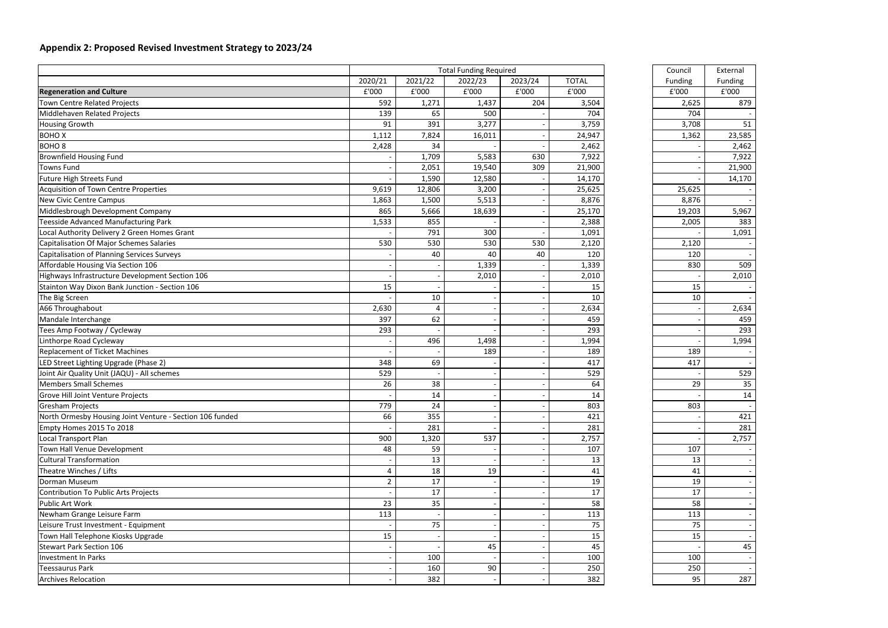| Council | External        |
|---------|-----------------|
| Funding | Funding         |
| £'000   | £'000           |
| 2,625   | 879             |
| 704     |                 |
| 3,708   | $\overline{51}$ |
| 1,362   | 23,585          |
|         | 2,462           |
|         | 7,922           |
|         | 21,900          |
|         | 14,170          |
| 25,625  |                 |
| 8,876   |                 |
| 19,203  | 5,967           |
| 2,005   | 383             |
|         | 1,091           |
| 2,120   |                 |
| 120     |                 |
| 830     | 509             |
|         | 2,010           |
| 15      |                 |
| 10      |                 |
|         | 2,634           |
|         | 459             |
|         | 293             |
|         | 1,994           |
| 189     |                 |
| 417     |                 |
|         | 529             |
| _<br>29 | 35              |
|         | 14              |
| 803     |                 |
|         | 421             |
|         | 281             |
|         | 2,757           |
| 107     |                 |
| 13      |                 |
| 41      |                 |
| 19      |                 |
| 17      |                 |
| 58      |                 |
| 113     |                 |
| 75      |                 |
| 15      |                 |
|         | 45              |
| 100     |                 |
| 250     |                 |
| 95      | 287             |
|         |                 |

|                                                          |                | <b>Total Funding Required</b> |         |         | Council      | External |         |
|----------------------------------------------------------|----------------|-------------------------------|---------|---------|--------------|----------|---------|
|                                                          | 2020/21        | 2021/22                       | 2022/23 | 2023/24 | <b>TOTAL</b> | Funding  | Funding |
| <b>Regeneration and Culture</b>                          | £'000          | £'000                         | £'000   | £'000   | £'000        | £'000    | f'000   |
| Town Centre Related Projects                             | 592            | 1,271                         | 1,437   | 204     | 3,504        | 2,625    | 879     |
| Middlehaven Related Projects                             | 139            | 65                            | 500     |         | 704          | 704      |         |
| <b>Housing Growth</b>                                    | 91             | 391                           | 3,277   |         | 3,759        | 3,708    | 51      |
| <b>BOHOX</b>                                             | 1,112          | 7,824                         | 16,011  |         | 24,947       | 1,362    | 23,585  |
| <b>BOHO 8</b>                                            | 2,428          | 34                            |         |         | 2,462        |          | 2,462   |
| <b>Brownfield Housing Fund</b>                           |                | 1,709                         | 5,583   | 630     | 7,922        |          | 7,922   |
| <b>Towns Fund</b>                                        |                | 2,051                         | 19,540  | 309     | 21,900       |          | 21,900  |
| Future High Streets Fund                                 |                | 1,590                         | 12,580  |         | 14,170       |          | 14,170  |
| <b>Acquisition of Town Centre Properties</b>             | 9,619          | 12,806                        | 3,200   |         | 25,625       | 25,625   |         |
| New Civic Centre Campus                                  | 1,863          | 1,500                         | 5,513   |         | 8,876        | 8,876    |         |
| Middlesbrough Development Company                        | 865            | 5,666                         | 18,639  |         | 25,170       | 19,203   | 5,967   |
| <b>Teesside Advanced Manufacturing Park</b>              | 1,533          | 855                           |         |         | 2,388        | 2,005    | 383     |
| Local Authority Delivery 2 Green Homes Grant             |                | 791                           | 300     |         | 1,091        |          | 1,091   |
| <b>Capitalisation Of Major Schemes Salaries</b>          | 530            | 530                           | 530     | 530     | 2,120        | 2,120    |         |
| Capitalisation of Planning Services Surveys              |                | 40                            | 40      | 40      | 120          | 120      |         |
| Affordable Housing Via Section 106                       |                |                               | 1,339   |         | 1,339        | 830      | 509     |
| Highways Infrastructure Development Section 106          |                |                               | 2,010   |         | 2,010        |          | 2,010   |
| Stainton Way Dixon Bank Junction - Section 106           | 15             |                               |         |         | 15           | 15       |         |
| The Big Screen                                           |                | 10                            |         |         | 10           | 10       |         |
| A66 Throughabout                                         | 2,630          | Δ                             |         |         | 2,634        |          | 2,634   |
| Mandale Interchange                                      | 397            | 62                            |         |         | 459          |          | 459     |
| Tees Amp Footway / Cycleway                              | 293            |                               |         |         | 293          |          | 293     |
| Linthorpe Road Cycleway                                  |                | 496                           | 1,498   |         | 1,994        |          | 1,994   |
| <b>Replacement of Ticket Machines</b>                    |                |                               | 189     |         | 189          | 189      |         |
| LED Street Lighting Upgrade (Phase 2)                    | 348            | 69                            |         |         | 417          | 417      |         |
| Joint Air Quality Unit (JAQU) - All schemes              | 529            |                               |         |         | 529          |          | 529     |
| <b>Members Small Schemes</b>                             | 26             | 38                            |         |         | 64           | 29       | 35      |
| Grove Hill Joint Venture Projects                        |                | 14                            |         |         | 14           |          | 14      |
| Gresham Projects                                         | 779            | 24                            |         |         | 803          | 803      |         |
| North Ormesby Housing Joint Venture - Section 106 funded | 66             | 355                           |         |         | 421          |          | 421     |
| Empty Homes 2015 To 2018                                 |                | 281                           |         |         | 281          |          | 281     |
| <b>Local Transport Plan</b>                              | 900            | 1,320                         | 537     |         | 2,757        |          | 2,757   |
| Town Hall Venue Development                              | 48             | 59                            |         |         | 107          | 107      |         |
| <b>Cultural Transformation</b>                           |                | 13                            |         |         | 13           | 13       |         |
| Theatre Winches / Lifts                                  | 4              | 18                            | 19      |         | 41           | 41       |         |
| Dorman Museum                                            | $\overline{2}$ | 17                            |         |         | 19           | 19       |         |
| Contribution To Public Arts Projects                     |                | 17                            |         |         | 17           | 17       |         |
| <b>Public Art Work</b>                                   | 23             | 35                            |         |         | 58           | 58       |         |
| Newham Grange Leisure Farm                               | 113            |                               |         |         | 113          | 113      |         |
| Leisure Trust Investment - Equipment                     |                | 75                            |         |         | 75           | 75       |         |
| Town Hall Telephone Kiosks Upgrade                       | 15             |                               |         |         | 15           | 15       |         |
| <b>Stewart Park Section 106</b>                          |                |                               | 45      |         | 45           |          | 45      |
| Investment In Parks                                      |                | 100                           |         |         | 100          | 100      |         |
| <b>Teessaurus Park</b>                                   |                | 160                           | 90      |         | 250          | 250      |         |
| <b>Archives Relocation</b>                               |                | 382                           |         |         | 382          | 95       | 287     |
|                                                          |                |                               |         |         |              |          |         |

|  | Appendix 2: Proposed Revised Investment Strategy to 2023/24 |
|--|-------------------------------------------------------------|
|--|-------------------------------------------------------------|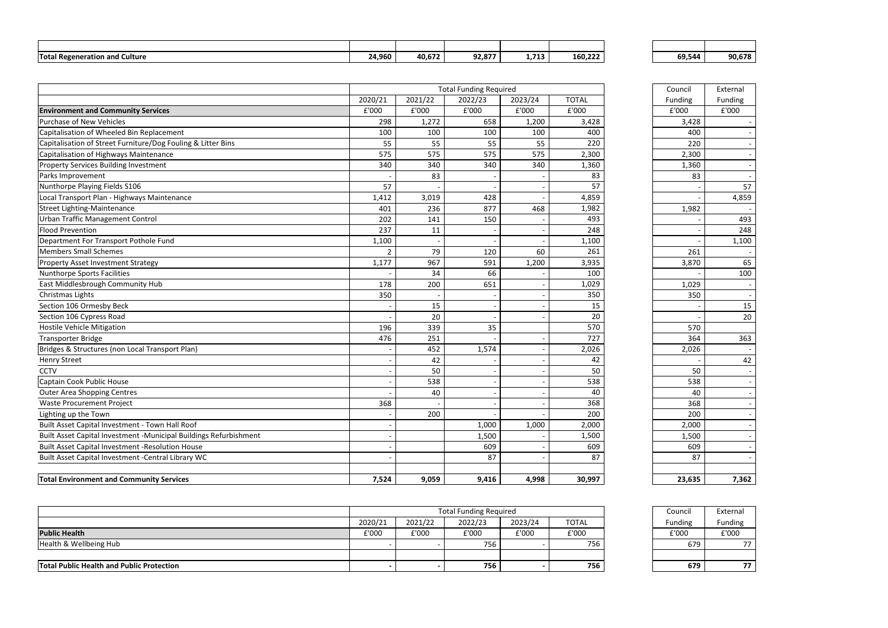| <b>Total Re</b><br>eeneration and Culture. | 24,960 | 40,672 | 92,877 | 1,713 | 160,222 | 69,544 | 90,678 |
|--------------------------------------------|--------|--------|--------|-------|---------|--------|--------|

| Council | External       |
|---------|----------------|
| Funding | <b>Funding</b> |
| £'000   | £'000          |
| 3,428   |                |
| 400     |                |
| 220     |                |
| 2,300   |                |
| 1,360   |                |
| 83      |                |
|         | 57             |
|         | 4,859          |
| 1,982   |                |
|         | 493            |
|         | 248            |
|         | 1,100          |
| 261     |                |
| 3,870   | 65             |
|         | 100            |
| 1,029   |                |
| 350     |                |
|         | 15             |
|         | 20             |
| 570     |                |
| 364     | 363            |
| 2,026   |                |
|         | 42             |
| 50      |                |
| 538     |                |
| 40      |                |
| 368     |                |
| 200     |                |
| 2,000   |                |
| 1,500   |                |
| 609     |                |
| 87      |                |
|         |                |
| 23,635  | 7,362          |

| <b>Environment and Community Services</b>                         | 2020/21<br>£'000 | 2021/22<br>£'000 | 2022/23 | 2023/24 | <b>TOTAL</b> | Funding | Funding |
|-------------------------------------------------------------------|------------------|------------------|---------|---------|--------------|---------|---------|
|                                                                   |                  |                  |         |         |              |         |         |
|                                                                   |                  |                  | £'000   | £'000   | £'000        | £'000   | £'000   |
| <b>Purchase of New Vehicles</b>                                   | 298              | 1,272            | 658     | 1,200   | 3,428        | 3,428   |         |
| Capitalisation of Wheeled Bin Replacement                         | 100              | 100              | 100     | 100     | 400          | 400     |         |
| Capitalisation of Street Furniture/Dog Fouling & Litter Bins      | 55               | 55               | 55      | 55      | 220          | 220     |         |
| Capitalisation of Highways Maintenance                            | 575              | 575              | 575     | 575     | 2,300        | 2,300   |         |
| <b>Property Services Building Investment</b>                      | 340              | 340              | 340     | 340     | 1,360        | 1,360   |         |
| Parks Improvement                                                 |                  | 83               |         |         | 83           | 83      |         |
| Nunthorpe Playing Fields S106                                     | 57               |                  |         |         | 57           |         | 57      |
| Local Transport Plan - Highways Maintenance                       | 1,412            | 3,019            | 428     |         | 4,859        |         | 4,859   |
| <b>Street Lighting-Maintenance</b>                                | 401              | 236              | 877     | 468     | 1,982        | 1,982   |         |
| <b>Urban Traffic Management Control</b>                           | 202              | 141              | 150     |         | 493          |         | 493     |
| <b>Flood Prevention</b>                                           | 237              | 11               |         |         | 248          |         | 248     |
| Department For Transport Pothole Fund                             | 1,100            |                  |         |         | 1,100        |         | 1,100   |
| <b>Members Small Schemes</b>                                      |                  | 79               | 120     | 60      | 261          | 261     |         |
| <b>Property Asset Investment Strategy</b>                         | 1,177            | 967              | 591     | 1,200   | 3,935        | 3,870   | 65      |
| <b>Nunthorpe Sports Facilities</b>                                |                  | 34               | 66      |         | 100          |         | 100     |
| East Middlesbrough Community Hub                                  | 178              | 200              | 651     |         | 1,029        | 1,029   |         |
| Christmas Lights                                                  | 350              |                  |         |         | 350          | 350     |         |
| Section 106 Ormesby Beck                                          |                  | 15               |         |         | 15           |         | 15      |
| Section 106 Cypress Road                                          |                  | 20               |         |         | 20           |         | 20      |
| <b>Hostile Vehicle Mitigation</b>                                 | 196              | 339              | 35      |         | 570          | 570     |         |
| <b>Transporter Bridge</b>                                         | 476              | 251              |         |         | 727          | 364     | 363     |
| Bridges & Structures (non Local Transport Plan)                   |                  | 452              | 1,574   |         | 2,026        | 2,026   |         |
| <b>Henry Street</b>                                               |                  | 42               |         |         | 42           |         | 42      |
| <b>CCTV</b>                                                       |                  | 50               |         |         | 50           | 50      |         |
| Captain Cook Public House                                         |                  | 538              |         |         | 538          | 538     |         |
| <b>Outer Area Shopping Centres</b>                                |                  | 40               |         |         | 40           | 40      |         |
| <b>Waste Procurement Project</b>                                  | 368              |                  |         |         | 368          | 368     |         |
| Lighting up the Town                                              |                  | 200              |         |         | 200          | 200     |         |
| Built Asset Capital Investment - Town Hall Roof                   |                  |                  | 1,000   | 1,000   | 2,000        | 2,000   |         |
| Built Asset Capital Investment -Municipal Buildings Refurbishment |                  |                  | 1,500   |         | 1,500        | 1,500   |         |
| <b>Built Asset Capital Investment -Resolution House</b>           |                  |                  | 609     |         | 609          | 609     |         |
| Built Asset Capital Investment - Central Library WC               |                  |                  | 87      |         | 87           | 87      |         |
| <b>Total Environment and Community Services</b>                   | 7,524            | 9,059            | 9,416   | 4,998   | 30,997       | 23,635  | 7,362   |

| Council | External |
|---------|----------|
| Funding | Funding  |
| f'000   | £'000    |
| 679     |          |
|         |          |
| 679     |          |

|                                                  | <b>Total Funding Required</b> |         |         |         | Council      | External       |                |
|--------------------------------------------------|-------------------------------|---------|---------|---------|--------------|----------------|----------------|
|                                                  | 2020/21                       | 2021/22 | 2022/23 | 2023/24 | <b>TOTAL</b> | <b>Funding</b> | <b>Funding</b> |
| <b>Public Health</b>                             | £'000                         | £'000   | £'000   | £'000   | £'000        | £'000          | £'000          |
| Health & Wellbeing Hub                           |                               |         | 756,    |         | 756          | 679            | 77             |
|                                                  |                               |         |         |         |              |                |                |
| <b>Total Public Health and Public Protection</b> |                               |         | 756     |         | 756          | 679            | 77             |

| 69,544 | 90,678 |
|--------|--------|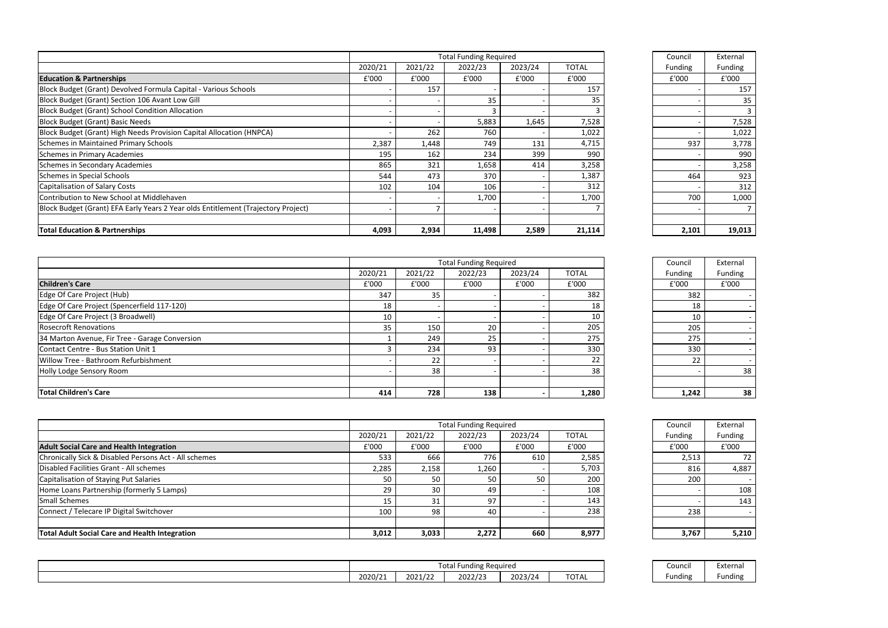| <b>Funding</b><br>Funding<br>£'000<br>£'000<br>157<br>35<br>3<br>7,528<br>1,022<br>937<br>3,778<br>990<br>3,258<br>464<br>923<br>312<br>700<br>1,000<br>7 | 2,101   | 19,013   |
|-----------------------------------------------------------------------------------------------------------------------------------------------------------|---------|----------|
|                                                                                                                                                           |         |          |
|                                                                                                                                                           |         |          |
|                                                                                                                                                           |         |          |
|                                                                                                                                                           |         |          |
|                                                                                                                                                           |         |          |
|                                                                                                                                                           |         |          |
|                                                                                                                                                           |         |          |
|                                                                                                                                                           |         |          |
|                                                                                                                                                           |         |          |
|                                                                                                                                                           |         |          |
|                                                                                                                                                           |         |          |
|                                                                                                                                                           |         |          |
|                                                                                                                                                           |         |          |
|                                                                                                                                                           |         |          |
|                                                                                                                                                           |         |          |
|                                                                                                                                                           | Council | External |

| Council        | External |
|----------------|----------|
| <b>Funding</b> | Funding  |
| £'000          | £'000    |
| 382            |          |
| 18             |          |
| 10             |          |
| 205            |          |
| 275            |          |
| 330            |          |
| 22             |          |
|                | 38       |
|                |          |
| 1,242          | 38       |

| ouncil | External |
|--------|----------|
|        |          |
| unding | Funding  |
| £'000  | £'000    |
| 2,513  | 72       |
| 816    | 4,887    |
| 200    |          |
|        | 108      |
|        | 143      |
| 238    |          |
|        |          |
| 3,767  | 5,210    |

| ouncil: | External       |
|---------|----------------|
| unding  | <b>Funding</b> |
|         |                |

|                                                                                   |         |         | <b>Total Funding Required</b> |         | Council      | External       |         |
|-----------------------------------------------------------------------------------|---------|---------|-------------------------------|---------|--------------|----------------|---------|
|                                                                                   | 2020/21 | 2021/22 | 2022/23                       | 2023/24 | <b>TOTAL</b> | <b>Funding</b> | Funding |
| <b>Education &amp; Partnerships</b>                                               | £'000   | £'000   | £'000                         | £'000   | £'000        | £'000          | £'000   |
| Block Budget (Grant) Devolved Formula Capital - Various Schools                   |         | 157     |                               |         | 157          |                | 157     |
| Block Budget (Grant) Section 106 Avant Low Gill                                   |         |         | 35                            |         | 35           |                | 35      |
| <b>Block Budget (Grant) School Condition Allocation</b>                           |         |         |                               |         |              |                |         |
| <b>Block Budget (Grant) Basic Needs</b>                                           |         |         | 5,883                         | 1,645   | 7,528        |                | 7,528   |
| Block Budget (Grant) High Needs Provision Capital Allocation (HNPCA)              |         | 262     | 760                           |         | 1,022        |                | 1,022   |
| Schemes in Maintained Primary Schools                                             | 2,387   | 1,448   | 749                           | 131     | 4,715        | 937            | 3,778   |
| Schemes in Primary Academies                                                      | 195     | 162     | 234                           | 399     | 990          |                | 990     |
| Schemes in Secondary Academies                                                    | 865     | 321     | 1,658                         | 414     | 3,258        |                | 3,258   |
| Schemes in Special Schools                                                        | 544     | 473     | 370                           |         | 1,387        | 464            | 923     |
| Capitalisation of Salary Costs                                                    | 102     | 104     | 106                           |         | 312          |                | 312     |
| Contribution to New School at Middlehaven                                         |         |         | 1,700                         |         | 1,700        | 700            | 1,000   |
| Block Budget (Grant) EFA Early Years 2 Year olds Entitlement (Trajectory Project) |         |         |                               |         |              |                |         |
| <b>Total Education &amp; Partnerships</b>                                         | 4,093   | 2,934   | 11,498                        | 2,589   | 21,114       | 2,101          | 19,013  |

|                                                |         |         | <b>Total Funding Required</b> |         | Council      | External        |         |
|------------------------------------------------|---------|---------|-------------------------------|---------|--------------|-----------------|---------|
|                                                | 2020/21 | 2021/22 | 2022/23                       | 2023/24 | <b>TOTAL</b> | Funding         | Funding |
| <b>Children's Care</b>                         | £'000   | £'000   | £'000                         | £'000   | £'000        | £'000           | £'000   |
| Edge Of Care Project (Hub)                     | 347     | 35      |                               |         | 382          | 382             |         |
| Edge Of Care Project (Spencerfield 117-120)    | 18      |         | $\overline{\phantom{0}}$      |         | 18           | 18              |         |
| Edge Of Care Project (3 Broadwell)             | 10      |         | $\overline{\phantom{0}}$      |         | 10           | 10 <sup>1</sup> |         |
| <b>Rosecroft Renovations</b>                   | 35      | 150     | 20                            |         | 205          | 205             |         |
| 34 Marton Avenue, Fir Tree - Garage Conversion |         | 249     | 25                            |         | 275          | 275             |         |
| Contact Centre - Bus Station Unit 1            |         | 234     | 93                            |         | 330          | 330             |         |
| Willow Tree - Bathroom Refurbishment           |         | 22      | $\overline{\phantom{0}}$      |         | 22           | 22              |         |
| Holly Lodge Sensory Room                       |         | 38      | $\overline{\phantom{0}}$      |         | 38           |                 | 38      |
|                                                |         |         |                               |         |              |                 |         |
| <b>Total Children's Care</b>                   | 414     | 728     | 138                           |         | 1,280        | 1,242           | 38      |

|                                                       |         |         | <b>Total Funding Required</b> |         | Council      | External       |         |
|-------------------------------------------------------|---------|---------|-------------------------------|---------|--------------|----------------|---------|
|                                                       | 2020/21 | 2021/22 | 2022/23                       | 2023/24 | <b>TOTAL</b> | <b>Funding</b> | Funding |
| <b>Adult Social Care and Health Integration</b>       | £'000   | £'000   | £'000                         | £'000   | £'000        | £'000          | £'000   |
| Chronically Sick & Disabled Persons Act - All schemes | 533     | 666     | 776                           | 610     | 2,585        | 2,513          | 72      |
| Disabled Facilities Grant - All schemes               | 2,285   | 2,158   | 1,260                         |         | 5,703        | 816            | 4,887   |
| Capitalisation of Staying Put Salaries                | 50      | 50      | 50                            | 50      | 200          | 200            |         |
| Home Loans Partnership (formerly 5 Lamps)             | 29      | 30      | 49                            |         | 108          |                | 108     |
| <b>Small Schemes</b>                                  |         | 31      | 97                            |         | 143          |                | 143     |
| Connect / Telecare IP Digital Switchover              | 100     | 98      | 40                            |         | 238          | 238            |         |
|                                                       |         |         |                               |         |              |                |         |
| <b>Total Adult Social Care and Health Integration</b> | 3,012   | 3,033   | 2,272                         | 660     | 8,977        | 3,767          | 5,210   |

| $\overline{\phantom{a}}$<br>Total Funding Required |                             |              |         |              |  | Council | Externa      |
|----------------------------------------------------|-----------------------------|--------------|---------|--------------|--|---------|--------------|
| 2020/21                                            | ,,,, <i>,</i> ,,<br>2021/22 | 2022/2:<br>. | 2023/24 | <b>TOTAL</b> |  | ∙undinµ | .<br>-undıng |